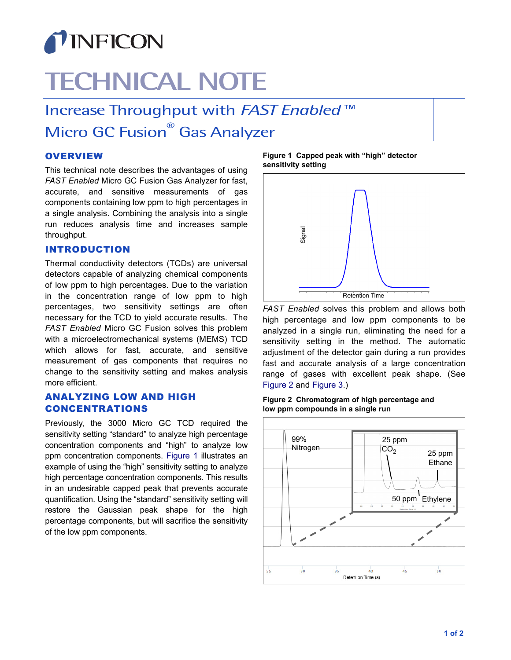

# **TECHNICAL NOTE**

Increase Throughput with *FAST Enabled* ™ Micro GC Fusion<sup>®</sup> Gas Analyzer

# **OVERVIEW**

This technical note describes the advantages of using *FAST Enabled* Micro GC Fusion Gas Analyzer for fast, accurate, and sensitive measurements of gas components containing low ppm to high percentages in a single analysis. Combining the analysis into a single run reduces analysis time and increases sample throughput.

# INTRODUCTION

Thermal conductivity detectors (TCDs) are universal detectors capable of analyzing chemical components of low ppm to high percentages. Due to the variation in the concentration range of low ppm to high percentages, two sensitivity settings are often necessary for the TCD to yield accurate results. The *FAST Enabled* Micro GC Fusion solves this problem with a microelectromechanical systems (MEMS) TCD which allows for fast, accurate, and sensitive measurement of gas components that requires no change to the sensitivity setting and makes analysis more efficient.

# ANALYZING LOW AND HIGH CONCENTRATIONS

Previously, the 3000 Micro GC TCD required the sensitivity setting "standard" to analyze high percentage concentration components and "high" to analyze low ppm concentration components. [Figure 1](#page-0-1) illustrates an example of using the "high" sensitivity setting to analyze high percentage concentration components. This results in an undesirable capped peak that prevents accurate quantification. Using the "standard" sensitivity setting will restore the Gaussian peak shape for the high percentage components, but will sacrifice the sensitivity of the low ppm components.

<span id="page-0-1"></span>**Figure 1 Capped peak with "high" detector sensitivity setting**



*FAST Enabled* solves this problem and allows both high percentage and low ppm components to be analyzed in a single run, eliminating the need for a sensitivity setting in the method. The automatic adjustment of the detector gain during a run provides fast and accurate analysis of a large concentration range of gases with excellent peak shape. (See [Figure 2](#page-0-0) and [Figure 3](#page-1-0).)

<span id="page-0-0"></span>